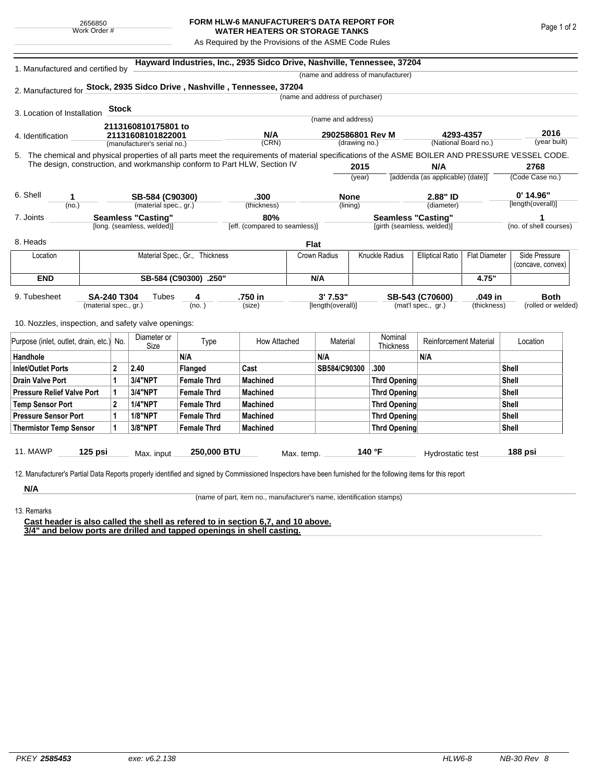## **FORM HLW-6 MANUFACTURER'S DATA REPORT FOR WATER HEATERS OR STORAGE TANKS**

As Required by the Provisions of the ASME Code Rules

| 1. Manufactured and certified by         |                                                                           |                                |                                                     | Hayward Industries, Inc., 2935 Sidco Drive, Nashville, Tennessee, 37204                                                                            |                               |             |                                 |          |                                                 |                                  |              |                        |                    |
|------------------------------------------|---------------------------------------------------------------------------|--------------------------------|-----------------------------------------------------|----------------------------------------------------------------------------------------------------------------------------------------------------|-------------------------------|-------------|---------------------------------|----------|-------------------------------------------------|----------------------------------|--------------|------------------------|--------------------|
|                                          |                                                                           |                                |                                                     |                                                                                                                                                    |                               |             |                                 |          | (name and address of manufacturer)              |                                  |              |                        |                    |
|                                          |                                                                           |                                |                                                     | 2. Manufactured for Stock, 2935 Sidco Drive, Nashville, Tennessee, 37204                                                                           |                               |             |                                 |          |                                                 |                                  |              |                        |                    |
|                                          |                                                                           |                                |                                                     |                                                                                                                                                    |                               |             | (name and address of purchaser) |          |                                                 |                                  |              |                        |                    |
| 3. Location of Installation              |                                                                           | <b>Stock</b>                   |                                                     |                                                                                                                                                    |                               |             |                                 |          |                                                 |                                  |              |                        |                    |
|                                          |                                                                           |                                | 2113160810175801 to                                 |                                                                                                                                                    |                               |             | (name and address)              |          |                                                 |                                  |              |                        |                    |
| 4. Identification                        |                                                                           | 21131608101822001              |                                                     |                                                                                                                                                    | N/A                           |             | 2902586801 Rev M                |          |                                                 | 4293-4357                        | 2016         |                        |                    |
|                                          |                                                                           |                                | (manufacturer's serial no.)                         |                                                                                                                                                    | (CRN)                         |             | (drawing no.)                   |          |                                                 | (National Board no.)             |              |                        | (year built)       |
|                                          |                                                                           |                                |                                                     | 5. The chemical and physical properties of all parts meet the requirements of material specifications of the ASME BOILER AND PRESSURE VESSEL CODE. |                               |             |                                 |          |                                                 |                                  |              |                        |                    |
|                                          | The design, construction, and workmanship conform to Part HLW, Section IV |                                |                                                     |                                                                                                                                                    |                               |             | 2015                            |          |                                                 | N/A                              | 2768         |                        |                    |
|                                          |                                                                           |                                |                                                     |                                                                                                                                                    |                               |             |                                 | (year)   |                                                 | [addenda (as applicable) (date)] |              |                        | (Code Case no.)    |
| 6. Shell                                 | 1                                                                         |                                | SB-584 (C90300)                                     | .300                                                                                                                                               |                               | <b>None</b> |                                 | 2.88" ID |                                                 |                                  |              | $0'$ 14.96"            |                    |
|                                          | (no.)                                                                     |                                | (material spec., gr.)                               |                                                                                                                                                    | (thickness)                   |             | (lining)                        |          |                                                 | (diameter)                       |              | [length(overall)]      |                    |
| 7. Joints                                | <b>Seamless "Casting"</b>                                                 |                                |                                                     |                                                                                                                                                    | 80%                           |             | <b>Seamless "Casting"</b>       |          |                                                 |                                  | 1            |                        |                    |
| [long. (seamless, welded)]               |                                                                           |                                |                                                     |                                                                                                                                                    | [eff. (compared to seamless)] |             | [girth (seamless, welded)]      |          |                                                 |                                  |              | (no. of shell courses) |                    |
| 8. Heads                                 |                                                                           |                                |                                                     |                                                                                                                                                    |                               | Flat        |                                 |          |                                                 |                                  |              |                        |                    |
| Location                                 |                                                                           | Material Spec., Gr., Thickness |                                                     |                                                                                                                                                    | Crown Radius                  |             | Knuckle Radius                  |          | <b>Elliptical Ratio</b><br><b>Flat Diameter</b> |                                  |              | Side Pressure          |                    |
|                                          |                                                                           |                                |                                                     |                                                                                                                                                    |                               |             |                                 |          |                                                 |                                  |              |                        | (concave, convex)  |
| <b>END</b>                               |                                                                           |                                |                                                     | SB-584 (C90300) .250"                                                                                                                              |                               |             | N/A                             |          |                                                 |                                  | 4.75"        |                        |                    |
| 9. Tubesheet                             | <b>SA-240 T304</b>                                                        |                                | Tubes                                               | 4                                                                                                                                                  | .750 in                       |             | 3'7.53''                        |          |                                                 | SB-543 (C70600)                  | .049 in      |                        | <b>Both</b>        |
|                                          | (material spec., gr.)                                                     |                                |                                                     | (no. )                                                                                                                                             | (size)                        |             | [length(overall)]               |          |                                                 | (mat'l spec., gr.)               | (thickness)  |                        | (rolled or welded) |
|                                          |                                                                           |                                |                                                     |                                                                                                                                                    |                               |             |                                 |          |                                                 |                                  |              |                        |                    |
|                                          |                                                                           |                                | 10. Nozzles, inspection, and safety valve openings: |                                                                                                                                                    |                               |             |                                 |          |                                                 |                                  |              |                        |                    |
| Purpose (inlet, outlet, drain, etc.) No. |                                                                           |                                | Diameter or<br>Size                                 | Type                                                                                                                                               | How Attached                  |             | Material                        |          | Nominal<br>Thickness                            | <b>Reinforcement Material</b>    |              | Location               |                    |
| Handhole                                 |                                                                           |                                |                                                     | N/A                                                                                                                                                |                               |             | N/A                             |          |                                                 | N/A                              |              |                        |                    |
| <b>Inlet/Outlet Ports</b>                |                                                                           | $\mathbf{2}$                   | 2.40                                                | <b>Flanged</b>                                                                                                                                     | Cast                          |             | SB584/C90300                    |          | .300                                            |                                  |              | <b>Shell</b>           |                    |
| Drain Valve Port                         |                                                                           | 1                              | <b>3/4"NPT</b>                                      | <b>Female Thrd</b>                                                                                                                                 | <b>Machined</b>               |             |                                 |          | <b>Thrd Opening</b>                             |                                  |              | Shell                  |                    |
| <b>Pressure Relief Valve Port</b>        |                                                                           | 1                              | <b>3/4"NPT</b>                                      | <b>Female Thrd</b>                                                                                                                                 | <b>Machined</b>               |             |                                 |          | <b>Thrd Opening</b>                             |                                  | <b>Shell</b> |                        |                    |
| <b>Temp Sensor Port</b>                  |                                                                           | $\mathbf{2}$                   | <b>1/4"NPT</b>                                      | <b>Female Thrd</b>                                                                                                                                 | <b>Machined</b>               |             |                                 |          | <b>Thrd Opening</b>                             |                                  | <b>Shell</b> |                        |                    |
| <b>Pressure Sensor Port</b>              |                                                                           | 1                              | <b>1/8"NPT</b>                                      | <b>Female Thrd</b>                                                                                                                                 | <b>Machined</b>               |             |                                 |          | <b>Thrd Opening</b>                             |                                  | <b>Shell</b> |                        |                    |
| <b>Thermistor Temp Sensor</b>            |                                                                           | 1                              | 3/8"NPT                                             | <b>Female Thrd</b>                                                                                                                                 | <b>Machined</b>               |             |                                 |          | <b>Thrd Opening</b>                             |                                  |              | Shell                  |                    |
| <b>11. MAWP</b>                          |                                                                           |                                |                                                     |                                                                                                                                                    |                               |             |                                 |          |                                                 |                                  |              |                        |                    |
|                                          | 125 psi                                                                   |                                | Max. input                                          | 250,000 BTU                                                                                                                                        |                               | Max. temp.  |                                 |          | 140 °F                                          | Hydrostatic test                 |              | 188 psi                |                    |

**N/A** 13. Remarks

(name of part, item no., manufacturer's name, identification stamps)

**Cast header is also called the shell as refered to in section 6,7, and 10 above. 3/4" and below ports are drilled and tapped openings in shell casting.**